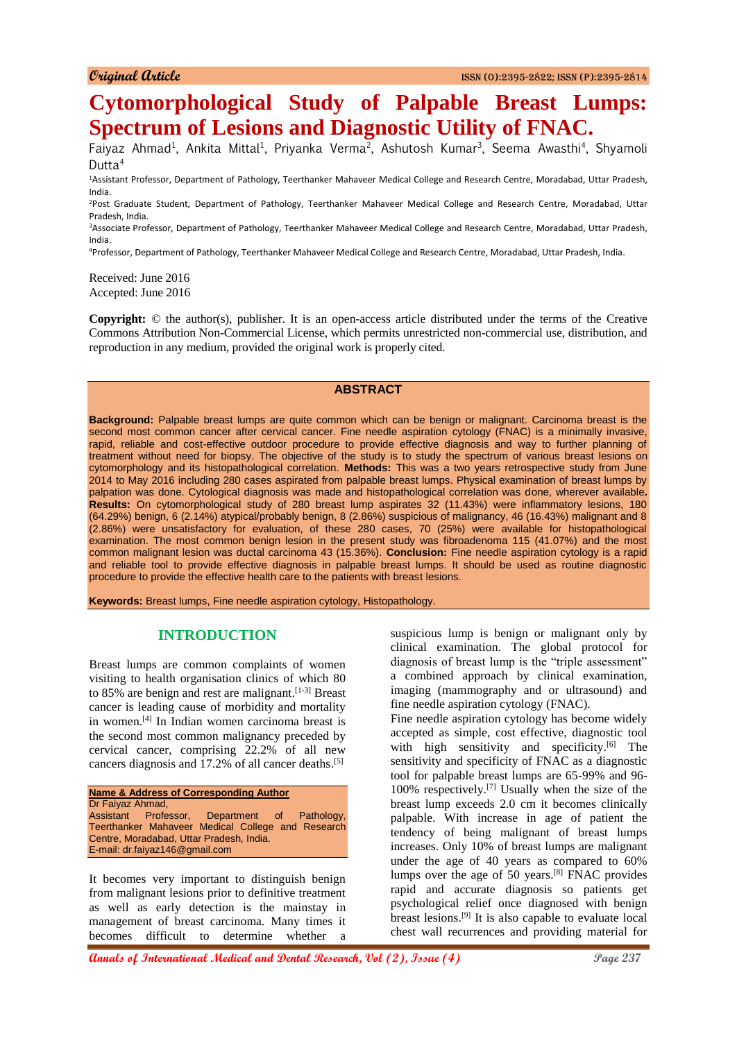# **Cytomorphological Study of Palpable Breast Lumps: Spectrum of Lesions and Diagnostic Utility of FNAC.**

Faiyaz Ahmad<sup>1</sup>, Ankita Mittal<sup>1</sup>, Priyanka Verma<sup>2</sup>, Ashutosh Kumar<sup>3</sup>, Seema Awasthi<sup>4</sup>, Shyamoli Dutta $4$ 

<sup>1</sup>Assistant Professor, Department of Pathology, Teerthanker Mahaveer Medical College and Research Centre, Moradabad, Uttar Pradesh, India.

<sup>2</sup>Post Graduate Student, Department of Pathology, Teerthanker Mahaveer Medical College and Research Centre, Moradabad, Uttar Pradesh, India.

<sup>3</sup>Associate Professor, Department of Pathology, Teerthanker Mahaveer Medical College and Research Centre, Moradabad, Uttar Pradesh, India.

<sup>4</sup>Professor, Department of Pathology, Teerthanker Mahaveer Medical College and Research Centre, Moradabad, Uttar Pradesh, India.

Received: June 2016 Accepted: June 2016

**Copyright:** © the author(s), publisher. It is an open-access article distributed under the terms of the Creative Commons Attribution Non-Commercial License, which permits unrestricted non-commercial use, distribution, and reproduction in any medium, provided the original work is properly cited.

# **ABSTRACT**

**Background:** Palpable breast lumps are quite common which can be benign or malignant. Carcinoma breast is the second most common cancer after cervical cancer. Fine needle aspiration cytology (FNAC) is a minimally invasive, rapid, reliable and cost-effective outdoor procedure to provide effective diagnosis and way to further planning of treatment without need for biopsy. The objective of the study is to study the spectrum of various breast lesions on cytomorphology and its histopathological correlation. **Methods:** This was a two years retrospective study from June 2014 to May 2016 including 280 cases aspirated from palpable breast lumps. Physical examination of breast lumps by palpation was done. Cytological diagnosis was made and histopathological correlation was done, wherever available**. Results:** On cytomorphological study of 280 breast lump aspirates 32 (11.43%) were inflammatory lesions, 180 (64.29%) benign, 6 (2.14%) atypical/probably benign, 8 (2.86%) suspicious of malignancy, 46 (16.43%) malignant and 8 (2.86%) were unsatisfactory for evaluation, of these 280 cases, 70 (25%) were available for histopathological examination. The most common benign lesion in the present study was fibroadenoma 115 (41.07%) and the most common malignant lesion was ductal carcinoma 43 (15.36%). **Conclusion:** Fine needle aspiration cytology is a rapid and reliable tool to provide effective diagnosis in palpable breast lumps. It should be used as routine diagnostic procedure to provide the effective health care to the patients with breast lesions.

**Keywords:** Breast lumps, Fine needle aspiration cytology, Histopathology.

#### **INTRODUCTION**

Breast lumps are common complaints of women visiting to health organisation clinics of which 80 to 85% are benign and rest are malignant.<sup>[1-3]</sup> Breast cancer is leading cause of morbidity and mortality in women. [4] In Indian women carcinoma breast is the second most common malignancy preceded by cervical cancer, comprising 22.2% of all new cancers diagnosis and 17.2% of all cancer deaths. [5]

| <b>Name &amp; Address of Corresponding Author</b> |  |  |  |  |  |
|---------------------------------------------------|--|--|--|--|--|
| Dr Faiyaz Ahmad,                                  |  |  |  |  |  |
| Assistant Professor, Department of Pathology,     |  |  |  |  |  |
| Teerthanker Mahaveer Medical College and Research |  |  |  |  |  |
| Centre, Moradabad, Uttar Pradesh, India.          |  |  |  |  |  |
| E-mail: dr.faiyaz146@gmail.com                    |  |  |  |  |  |

It becomes very important to distinguish benign from malignant lesions prior to definitive treatment as well as early detection is the mainstay in management of breast carcinoma. Many times it becomes difficult to determine whether a suspicious lump is benign or malignant only by clinical examination. The global protocol for diagnosis of breast lump is the "triple assessment" a combined approach by clinical examination, imaging (mammography and or ultrasound) and fine needle aspiration cytology (FNAC).

Fine needle aspiration cytology has become widely accepted as simple, cost effective, diagnostic tool with high sensitivity and specificity.<sup>[6]</sup> The sensitivity and specificity of FNAC as a diagnostic tool for palpable breast lumps are 65-99% and 96- 100% respectively. [7] Usually when the size of the breast lump exceeds 2.0 cm it becomes clinically palpable. With increase in age of patient the tendency of being malignant of breast lumps increases. Only 10% of breast lumps are malignant under the age of 40 years as compared to 60% lumps over the age of 50 years. [8] FNAC provides rapid and accurate diagnosis so patients get psychological relief once diagnosed with benign breast lesions. [9] It is also capable to evaluate local chest wall recurrences and providing material for

**Annals of International Medical and Dental Research, Vol (2), Issue (4) Page 237**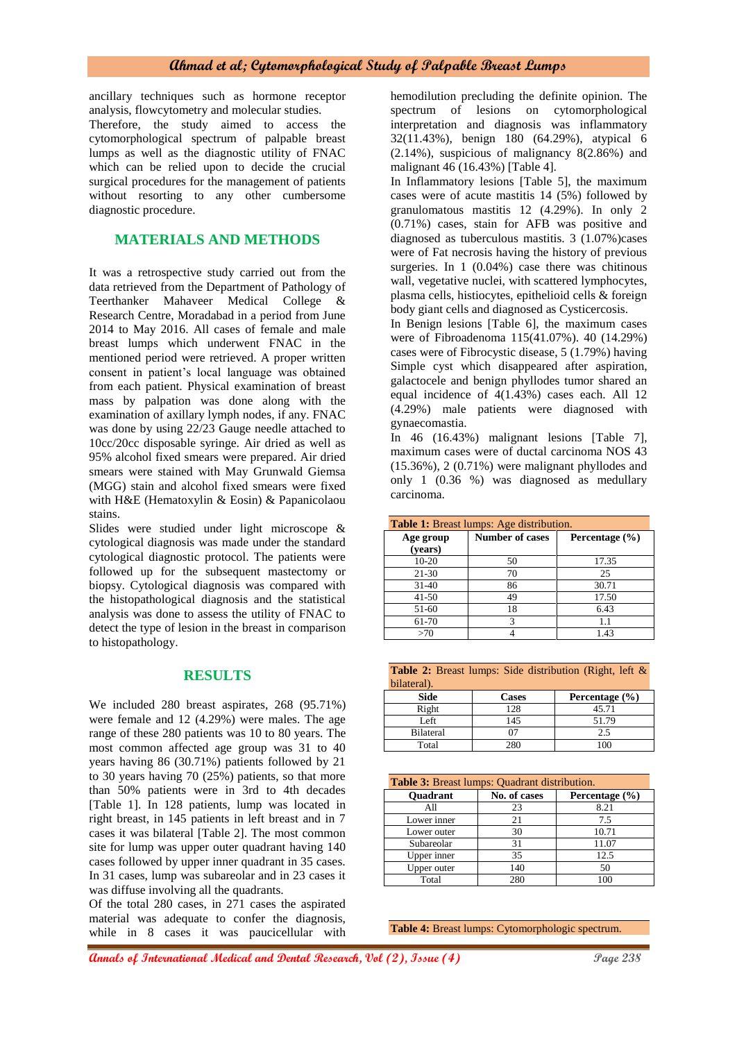ancillary techniques such as hormone receptor analysis, flowcytometry and molecular studies.

Therefore, the study aimed to access the cytomorphological spectrum of palpable breast lumps as well as the diagnostic utility of FNAC which can be relied upon to decide the crucial surgical procedures for the management of patients without resorting to any other cumbersome diagnostic procedure.

# **MATERIALS AND METHODS**

It was a retrospective study carried out from the data retrieved from the Department of Pathology of Teerthanker Mahaveer Medical College & Research Centre, Moradabad in a period from June 2014 to May 2016. All cases of female and male breast lumps which underwent FNAC in the mentioned period were retrieved. A proper written consent in patient's local language was obtained from each patient. Physical examination of breast mass by palpation was done along with the examination of axillary lymph nodes, if any. FNAC was done by using 22/23 Gauge needle attached to 10cc/20cc disposable syringe. Air dried as well as 95% alcohol fixed smears were prepared. Air dried smears were stained with May Grunwald Giemsa (MGG) stain and alcohol fixed smears were fixed with H&E (Hematoxylin & Eosin) & Papanicolaou stains.

Slides were studied under light microscope & cytological diagnosis was made under the standard cytological diagnostic protocol. The patients were followed up for the subsequent mastectomy or biopsy. Cytological diagnosis was compared with the histopathological diagnosis and the statistical analysis was done to assess the utility of FNAC to detect the type of lesion in the breast in comparison to histopathology.

## **RESULTS**

We included 280 breast aspirates, 268 (95.71%) were female and 12 (4.29%) were males. The age range of these 280 patients was 10 to 80 years. The most common affected age group was 31 to 40 years having 86 (30.71%) patients followed by 21 to 30 years having 70 (25%) patients, so that more than 50% patients were in 3rd to 4th decades [Table 1]. In 128 patients, lump was located in right breast, in 145 patients in left breast and in 7 cases it was bilateral [Table 2]. The most common site for lump was upper outer quadrant having 140 cases followed by upper inner quadrant in 35 cases. In 31 cases, lump was subareolar and in 23 cases it was diffuse involving all the quadrants.

Of the total 280 cases, in 271 cases the aspirated material was adequate to confer the diagnosis, while in 8 cases it was paucicellular with

hemodilution precluding the definite opinion. The spectrum of lesions on cytomorphological interpretation and diagnosis was inflammatory 32(11.43%), benign 180 (64.29%), atypical 6 (2.14%), suspicious of malignancy 8(2.86%) and malignant 46 (16.43%) [Table 4].

In Inflammatory lesions [Table 5], the maximum cases were of acute mastitis 14 (5%) followed by granulomatous mastitis 12 (4.29%). In only 2 (0.71%) cases, stain for AFB was positive and diagnosed as tuberculous mastitis.  $3(1.07\%)$  cases were of Fat necrosis having the history of previous surgeries. In 1 (0.04%) case there was chitinous wall, vegetative nuclei, with scattered lymphocytes, plasma cells, histiocytes, epithelioid cells & foreign body giant cells and diagnosed as Cysticercosis.

In Benign lesions [Table 6], the maximum cases were of Fibroadenoma 115(41.07%). 40 (14.29%) cases were of Fibrocystic disease, 5 (1.79%) having Simple cyst which disappeared after aspiration, galactocele and benign phyllodes tumor shared an equal incidence of 4(1.43%) cases each. All 12 (4.29%) male patients were diagnosed with gynaecomastia.

In 46 (16.43%) malignant lesions [Table 7], maximum cases were of ductal carcinoma NOS 43 (15.36%), 2 (0.71%) were malignant phyllodes and only 1 (0.36 %) was diagnosed as medullary carcinoma.

| <b>Table 1:</b> Breast lumps: Age distribution. |                        |                    |  |  |
|-------------------------------------------------|------------------------|--------------------|--|--|
| Age group<br>(years)                            | <b>Number of cases</b> | Percentage $(\% )$ |  |  |
| $10 - 20$                                       | 50                     | 17.35              |  |  |
| $21 - 30$                                       | 70                     | 25                 |  |  |
| $31 - 40$                                       | 86                     | 30.71              |  |  |
| $41 - 50$                                       | 49                     | 17.50              |  |  |
| 51-60                                           | 18                     | 6.43               |  |  |
| 61-70                                           | 3                      |                    |  |  |
| >70                                             |                        | 1.43               |  |  |

|             |  | <b>Table 2:</b> Breast lumps: Side distribution (Right, left $\&$ |  |  |
|-------------|--|-------------------------------------------------------------------|--|--|
| bilateral). |  |                                                                   |  |  |

| Side             | <b>Cases</b> | Percentage $(\% )$ |
|------------------|--------------|--------------------|
| Right            | 128          | 45.71              |
| Left             | 145          | 51.79              |
| <b>Bilateral</b> |              | 2.5                |
| Total            | 280          |                    |

| <b>Table 3:</b> Breast lumps: Quadrant distribution. |              |                    |  |  |
|------------------------------------------------------|--------------|--------------------|--|--|
| <b>Ouadrant</b>                                      | No. of cases | Percentage $(\% )$ |  |  |
| A11                                                  | 23           | 8.21               |  |  |
| Lower inner                                          | 21           | 7.5                |  |  |
| Lower outer                                          | 30           | 10.71              |  |  |
| Subareolar                                           | 31           | 11.07              |  |  |
| Upper inner                                          | 35           | 12.5               |  |  |
| Upper outer                                          | 140          | 50                 |  |  |
| Total                                                | 280          | 10C                |  |  |

**Table 4:** Breast lumps: Cytomorphologic spectrum.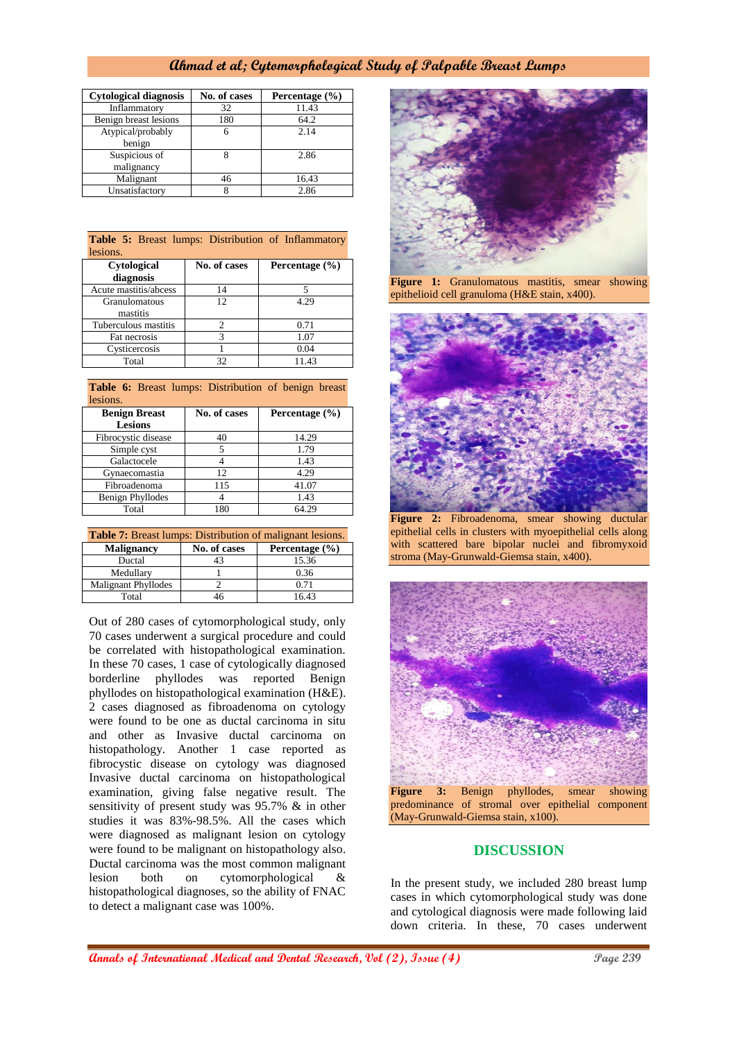| <b>Cytological diagnosis</b> | No. of cases | Percentage (%) |
|------------------------------|--------------|----------------|
| Inflammatory                 | 32           | 11.43          |
| Benign breast lesions        | 180          | 64.2           |
| Atypical/probably<br>benign  | 6            | 2.14           |
| Suspicious of<br>malignancy  |              | 2.86           |
| Malignant                    | 46           | 16.43          |
| Unsatisfactory               |              | 2.86           |

| <b>Table 5:</b> Breast lumps: Distribution of Inflammatory<br>lesions. |                |                    |  |  |
|------------------------------------------------------------------------|----------------|--------------------|--|--|
| <b>Cytological</b><br>diagnosis                                        | No. of cases   | Percentage $(\% )$ |  |  |
| Acute mastitis/abcess                                                  | 14             | 5                  |  |  |
| Granulomatous<br>mastitis                                              | 12             | 4.29               |  |  |
| Tuberculous mastitis                                                   | $\mathfrak{D}$ | 0.71               |  |  |
| Fat necrosis                                                           | 3              | 1.07               |  |  |
| Cysticercosis                                                          |                | 0.04               |  |  |
| Total                                                                  | 32             | 11.43              |  |  |

| Table 6: Breast lumps: Distribution of benign breast<br>lesions. |              |                |  |  |
|------------------------------------------------------------------|--------------|----------------|--|--|
| <b>Benign Breast</b><br><b>Lesions</b>                           | No. of cases | Percentage (%) |  |  |
| Fibrocystic disease                                              | 40           | 14.29          |  |  |
| Simple cyst                                                      |              | 1.79           |  |  |
| Galactocele                                                      |              | 1.43           |  |  |
| Gynaecomastia                                                    | 12           | 4.29           |  |  |
| Fibroadenoma                                                     | 115          |                |  |  |

Total 180 64.29 **Table 7:** Breast lumps: Distribution of malignant lesions.

Benign Phyllodes 4 1.43

| <b>THOIC</b> 1: DIVAGE RETEDS: DIGITIOUROIL OF HRITEHAIR RODORS. |              |                    |  |  |
|------------------------------------------------------------------|--------------|--------------------|--|--|
| <b>Malignancy</b>                                                | No. of cases | Percentage $(\% )$ |  |  |
| Ductal                                                           |              | 15.36              |  |  |
| Medullarv                                                        |              | 0.36               |  |  |
| Malignant Phyllodes                                              |              | 0.71               |  |  |
| Total                                                            | 16           | 16.43              |  |  |

Out of 280 cases of cytomorphological study, only 70 cases underwent a surgical procedure and could be correlated with histopathological examination. In these 70 cases, 1 case of cytologically diagnosed borderline phyllodes was reported Benign phyllodes on histopathological examination (H&E). 2 cases diagnosed as fibroadenoma on cytology were found to be one as ductal carcinoma in situ and other as Invasive ductal carcinoma on histopathology. Another 1 case reported as fibrocystic disease on cytology was diagnosed Invasive ductal carcinoma on histopathological examination, giving false negative result. The sensitivity of present study was 95.7% & in other studies it was 83%-98.5%. All the cases which were diagnosed as malignant lesion on cytology were found to be malignant on histopathology also. Ductal carcinoma was the most common malignant lesion both on cytomorphological & histopathological diagnoses, so the ability of FNAC to detect a malignant case was 100%.



**Figure 1:** Granulomatous mastitis, smear showing epithelioid cell granuloma (H&E stain, x400).



**Figure 2:** Fibroadenoma, smear showing ductular epithelial cells in clusters with myoepithelial cells along with scattered bare bipolar nuclei and fibromyxoid stroma (May-Grunwald-Giemsa stain, x400).



### **DISCUSSION**

In the present study, we included 280 breast lump cases in which cytomorphological study was done and cytological diagnosis were made following laid down criteria. In these, 70 cases underwent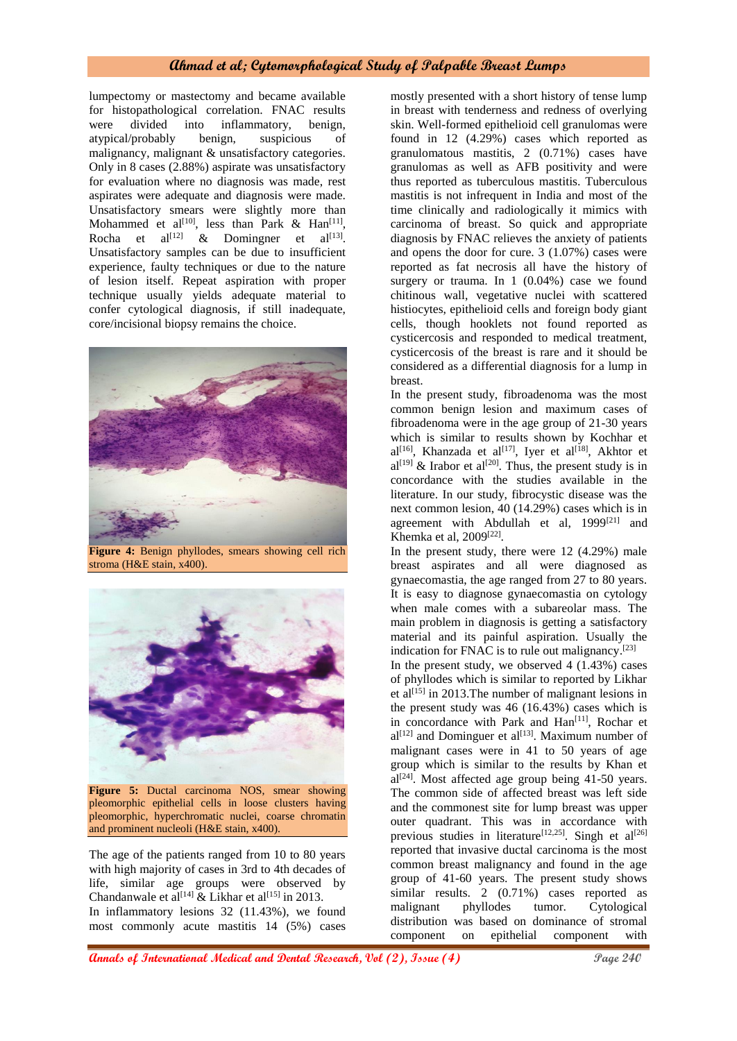lumpectomy or mastectomy and became available for histopathological correlation. FNAC results were divided into inflammatory, benign, atypical/probably benign, suspicious of malignancy, malignant & unsatisfactory categories. Only in 8 cases (2.88%) aspirate was unsatisfactory for evaluation where no diagnosis was made, rest aspirates were adequate and diagnosis were made. Unsatisfactory smears were slightly more than Mohammed et al<sup>[10]</sup>, less than Park & Han<sup>[11]</sup>, Rocha et al<sup>[12]</sup> & Domingner et al<sup>[13]</sup>. Unsatisfactory samples can be due to insufficient experience, faulty techniques or due to the nature of lesion itself. Repeat aspiration with proper technique usually yields adequate material to confer cytological diagnosis, if still inadequate, core/incisional biopsy remains the choice.



**Figure 4:** Benign phyllodes, smears showing cell rich stroma (H&E stain, x400).



**Figure 5:** Ductal carcinoma NOS, smear showing pleomorphic epithelial cells in loose clusters having pleomorphic, hyperchromatic nuclei, coarse chromatin and prominent nucleoli (H&E stain, x400).

The age of the patients ranged from 10 to 80 years with high majority of cases in 3rd to 4th decades of life, similar age groups were observed by Chandanwale et al<sup>[14]</sup>  $\&$  Likhar et al<sup>[15]</sup> in 2013. In inflammatory lesions 32 (11.43%), we found most commonly acute mastitis 14 (5%) cases mostly presented with a short history of tense lump in breast with tenderness and redness of overlying skin. Well-formed epithelioid cell granulomas were found in 12 (4.29%) cases which reported as granulomatous mastitis, 2 (0.71%) cases have granulomas as well as AFB positivity and were thus reported as tuberculous mastitis. Tuberculous mastitis is not infrequent in India and most of the time clinically and radiologically it mimics with carcinoma of breast. So quick and appropriate diagnosis by FNAC relieves the anxiety of patients and opens the door for cure. 3 (1.07%) cases were reported as fat necrosis all have the history of surgery or trauma. In 1 (0.04%) case we found chitinous wall, vegetative nuclei with scattered histiocytes, epithelioid cells and foreign body giant cells, though hooklets not found reported as cysticercosis and responded to medical treatment, cysticercosis of the breast is rare and it should be considered as a differential diagnosis for a lump in breast.

In the present study, fibroadenoma was the most common benign lesion and maximum cases of fibroadenoma were in the age group of 21-30 years which is similar to results shown by Kochhar et al<sup>[16]</sup>, Khanzada et al<sup>[17]</sup>, Iyer et al<sup>[18]</sup>, Akhtor et  $al^{[19]}$  & Irabor et al<sup>[20]</sup>. Thus, the present study is in concordance with the studies available in the literature. In our study, fibrocystic disease was the next common lesion, 40 (14.29%) cases which is in agreement with Abdullah et al, 1999<sup>[21]</sup> and Khemka et al, 2009[22] .

In the present study, there were 12 (4.29%) male breast aspirates and all were diagnosed as gynaecomastia, the age ranged from 27 to 80 years. It is easy to diagnose gynaecomastia on cytology when male comes with a subareolar mass. The main problem in diagnosis is getting a satisfactory material and its painful aspiration. Usually the indication for FNAC is to rule out malignancy.<sup>[23]</sup>

In the present study, we observed 4 (1.43%) cases of phyllodes which is similar to reported by Likhar et al<sup>[15]</sup> in 2013. The number of malignant lesions in the present study was 46 (16.43%) cases which is in concordance with Park and  $\text{Han}^{[11]}$ , Rochar et  $al^{[12]}$  and Dominguer et al<sup>[13]</sup>. Maximum number of malignant cases were in 41 to 50 years of age group which is similar to the results by Khan et  $aI^{[24]}$ . Most affected age group being 41-50 years. The common side of affected breast was left side and the commonest site for lump breast was upper outer quadrant. This was in accordance with previous studies in literature<sup>[12,25]</sup>. Singh et al<sup>[26]</sup> reported that invasive ductal carcinoma is the most common breast malignancy and found in the age group of 41-60 years. The present study shows similar results. 2 (0.71%) cases reported as malignant phyllodes tumor. Cytological distribution was based on dominance of stromal component on epithelial component with